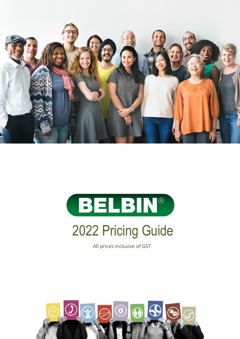



# 2022 Pricing Guide

All prices inclusive of GST

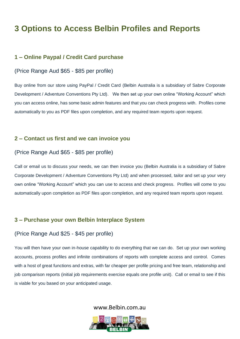# **3 Options to Access Belbin Profiles and Reports**

#### **1 – Online Paypal / Credit Card purchase**

#### (Price Range Aud \$65 - \$85 per profile)

Buy online from our store using PayPal / Credit Card (Belbin Australia is a subsidiary of Sabre Corporate Development / Adventure Conventions Pty Ltd). We then set up your own online "Working Account" which you can access online, has some basic admin features and that you can check progress with. Profiles come automatically to you as PDF files upon completion, and any required team reports upon request.

#### **2 – Contact us first and we can invoice you**

#### (Price Range Aud \$65 - \$85 per profile)

Call or email us to discuss your needs, we can then invoice you (Belbin Australia is a subsidiary of Sabre Corporate Development / Adventure Conventions Pty Ltd) and when processed, tailor and set up your very own online "Working Account" which you can use to access and check progress. Profiles will come to you automatically upon completion as PDF files upon completion, and any required team reports upon request.

#### **3 – Purchase your own Belbin Interplace System**

#### (Price Range Aud \$25 - \$45 per profile)

You will then have your own in-house capability to do everything that we can do. Set up your own working accounts, process profiles and infinite combinations of reports with complete access and control. Comes with a host of great functions and extras, with far cheaper per profile pricing and free team, relationship and job comparison reports (initial job requirements exercise equals one profile unit). Call or email to see if this is viable for you based on your anticipated usage.

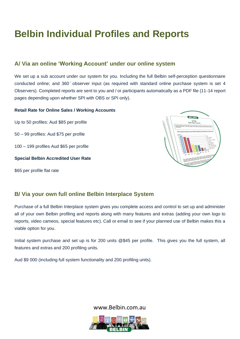# **Belbin Individual Profiles and Reports**

#### **A/ Via an online 'Working Account' under our online system**

We set up a sub account under our system for you. Including the full Belbin self-perception questionnaire conducted online; and 360 ̊ observer input (as required with standard online purchase system is set 4 Observers). Completed reports are sent to you and / or participants automatically as a PDF file (11-14 report pages depending upon whether SPI with OBS or SPI only).

#### **Retail Rate for Online Sales / Working Accounts**

Up to 50 profiles: Aud \$85 per profile

50 – 99 profiles: Aud \$75 per profile

100 – 199 profiles Aud \$65 per profile

#### **Special Belbin Accredited User Rate**

\$65 per profile flat rate



#### **B/ Via your own full online Belbin Interplace System**

Purchase of a full Belbin Interplace system gives you complete access and control to set up and administer all of your own Belbin profiling and reports along with many features and extras (adding your own logo to reports, video cameos, special features etc). Call or email to see if your planned use of Belbin makes this a viable option for you.

Initial system purchase and set up is for 200 units @\$45 per profile. This gives you the full system, all features and extras and 200 profiling units.

Aud \$9 000 (including full system functionality and 200 profiling units).

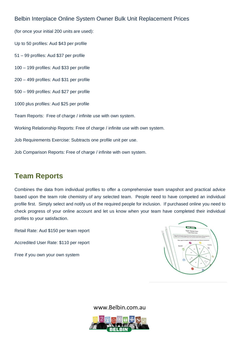#### Belbin Interplace Online System Owner Bulk Unit Replacement Prices

(for once your initial 200 units are used): Up to 50 profiles: Aud \$43 per profile 51 – 99 profiles: Aud \$37 per profile 100 – 199 profiles: Aud \$33 per profile 200 – 499 profiles: Aud \$31 per profile 500 – 999 profiles: Aud \$27 per profile 1000 plus profiles: Aud \$25 per profile Team Reports: Free of charge / infinite use with own system. Working Relationship Reports: Free of charge / infinite use with own system. Job Requirements Exercise: Subtracts one profile unit per use.

Job Comparison Reports: Free of charge / infinite with own system.

### **Team Reports**

Combines the data from individual profiles to offer a comprehensive team snapshot and practical advice based upon the team role chemistry of any selected team. People need to have competed an individual profile first. Simply select and notify us of the required people for inclusion. If purchased online you need to check progress of your online account and let us know when your team have completed their individual profiles to your satisfaction.

Retail Rate: Aud \$150 per team report

Accredited User Rate: \$110 per report

Free if you own your own system



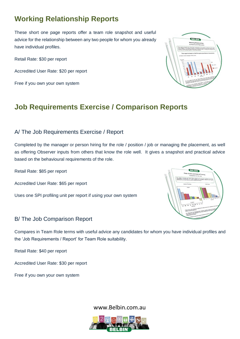# **Working Relationship Reports**

These short one page reports offer a team role snapshot and useful advice for the relationship between any two people for whom you already have individual profiles.

Retail Rate: \$30 per report

Accredited User Rate: \$20 per report

Free if you own your own system



# **Job Requirements Exercise / Comparison Reports**

#### A/ The Job Requirements Exercise / Report

Completed by the manager or person hiring for the role / position / job or managing the placement, as well as offering Observer inputs from others that know the role well. It gives a snapshot and practical advice based on the behavioural requirements of the role.

Retail Rate: \$85 per report

Accredited User Rate: \$65 per report

Uses one SPI profiling unit per report if using your own system

#### B/ The Job Comparison Report

Compares in Team Role terms with useful advice any candidates for whom you have individual profiles and the 'Job Requirements / Report' for Team Role suitability.

Retail Rate: \$40 per report

Accredited User Rate: \$30 per report

Free if you own your own system





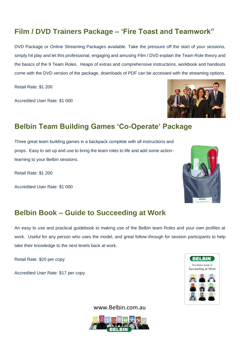# **Film / DVD Trainers Package – 'Fire Toast and Teamwork"**

DVD Package or Online Streaming Packages available. Take the pressure off the start of your sessions, simply hit play and let this professional, engaging and amusing Film / DVD explain the Team Role theory and the basics of the 9 Team Roles. Heaps of extras and comprehensive instructions, workbook and handouts come with the DVD version of the package, downloads of PDF can be accessed with the streaming options.

Retail Rate: \$1 200

Accredited User Rate: \$1 000



# **Belbin Team Building Games 'Co-Operate' Package**

Three great team building games in a backpack complete with all instructions and props. Easy to set up and use to bring the team roles to life and add some actionlearning to your Belbin sessions.

Retail Rate: \$1 200

Accredited User Rate: \$1 000



## **Belbin Book – Guide to Succeeding at Work**

An easy to use and practical guidebook to making use of the Belbin team Roles and your own profiles at work. Useful for any person who uses the model, and great follow-through for session participants to help take their knowledge to the next levels back at work.

Retail Rate: \$20 per copy

Accredited User Rate: \$17 per copy